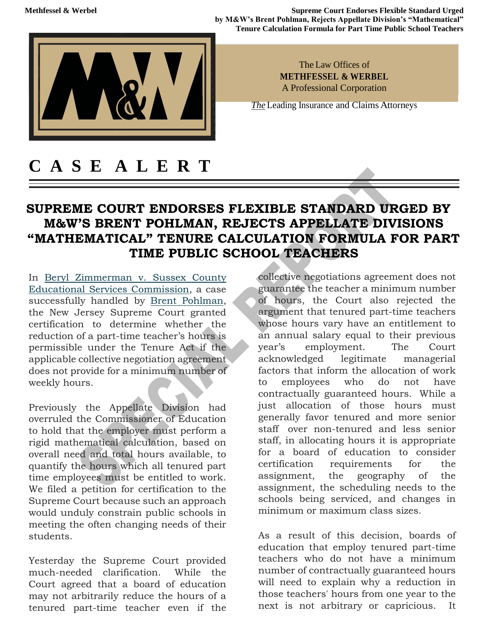**Methfessel & Werbel <b>Supreme Court Endorses Flexible Standard Urged Supreme Court Endorses Flexible Standard Urged by M&W's Brent Pohlman, Rejects Appellate Division's "Mathematical" Tenure Calculation Formula for Part Time Public School Teachers**



The Law Offices of **METHFESSEL & WERBEL**  A Professional Corporation

*The* Leading Insurance and Claims Attorneys

## **C A S E A L E R T**

## **SUPREME COURT ENDORSES FLEXIBLE STANDARD URGED BY M&W'S BRENT POHLMAN, REJECTS APPELLATE DIVISIONS "MATHEMATICAL" TENURE CALCULATION FORMULA FOR PART TIME PUBLIC SCHOOL TEACHERS**

In [Beryl Zimmerman v. Sussex](https://urldefense.proofpoint.com/v2/url?u=https-3A__methwerb.us6.list-2Dmanage.com_track_click-3Fu-3D84a2c784f6bde978aee3f5720-26id-3D60c0d155cd-26e-3D7d389a1552&d=DwMFaQ&c=euGZstcaTDllvimEN8b7jXrwqOf-v5A_CdpgnVfiiMM&r=xvIUgkpSXZLs0pBZ-uo1hTVaw7XTRGOu2Mx2ILReXWc&m=j5VzLkITRTmdAV6EVs8k51J-oydcKeBAHn2DUddAskI&s=2tSGN_m78vSWaeCUHRUlsWK3-Br-JjeYDx_H_n_Zamw&e=) County [Educational Services Commission,](https://urldefense.proofpoint.com/v2/url?u=https-3A__methwerb.us6.list-2Dmanage.com_track_click-3Fu-3D84a2c784f6bde978aee3f5720-26id-3D60c0d155cd-26e-3D7d389a1552&d=DwMFaQ&c=euGZstcaTDllvimEN8b7jXrwqOf-v5A_CdpgnVfiiMM&r=xvIUgkpSXZLs0pBZ-uo1hTVaw7XTRGOu2Mx2ILReXWc&m=j5VzLkITRTmdAV6EVs8k51J-oydcKeBAHn2DUddAskI&s=2tSGN_m78vSWaeCUHRUlsWK3-Br-JjeYDx_H_n_Zamw&e=) a case successfully handled by [Brent Pohlman,](https://urldefense.proofpoint.com/v2/url?u=https-3A__methwerb.us6.list-2Dmanage.com_track_click-3Fu-3D84a2c784f6bde978aee3f5720-26id-3Db1ac74b865-26e-3D7d389a1552&d=DwMFaQ&c=euGZstcaTDllvimEN8b7jXrwqOf-v5A_CdpgnVfiiMM&r=xvIUgkpSXZLs0pBZ-uo1hTVaw7XTRGOu2Mx2ILReXWc&m=j5VzLkITRTmdAV6EVs8k51J-oydcKeBAHn2DUddAskI&s=y_NbWIvYfP6sqOqF_fOXuvxFjkP1hO7ajD1lo27MOZc&e=) the New Jersey Supreme Court granted certification to determine whether the reduction of a part-time teacher's hours is permissible under the Tenure Act if the applicable collective negotiation agreement does not provide for a minimum number of weekly hours.

Previously the Appellate Division had overruled the Commissioner of Education to hold that the employer must perform a rigid mathematical calculation, based on overall need and total hours available, to quantify the hours which all tenured part time employees must be entitled to work. We filed a petition for certification to the Supreme Court because such an approach would unduly constrain public schools in meeting the often changing needs of their students.

Yesterday the Supreme Court provided much-needed clarification. While the Court agreed that a board of education may not arbitrarily reduce the hours of a tenured part-time teacher even if the

collective negotiations agreement does not guarantee the teacher a minimum number of hours, the Court also rejected the argument that tenured part-time teachers whose hours vary have an entitlement to an annual salary equal to their previous year's employment. The Court acknowledged legitimate managerial factors that inform the allocation of work to employees who do not have contractually guaranteed hours. While a just allocation of those hours must generally favor tenured and more senior staff over non-tenured and less senior staff, in allocating hours it is appropriate for a board of education to consider certification requirements for the assignment, the geography of the assignment, the scheduling needs to the schools being serviced, and changes in minimum or maximum class sizes.

As a result of this decision, boards of education that employ tenured part-time teachers who do not have a minimum number of contractually guaranteed hours will need to explain why a reduction in those teachers' hours from one year to the next is not arbitrary or capricious. It